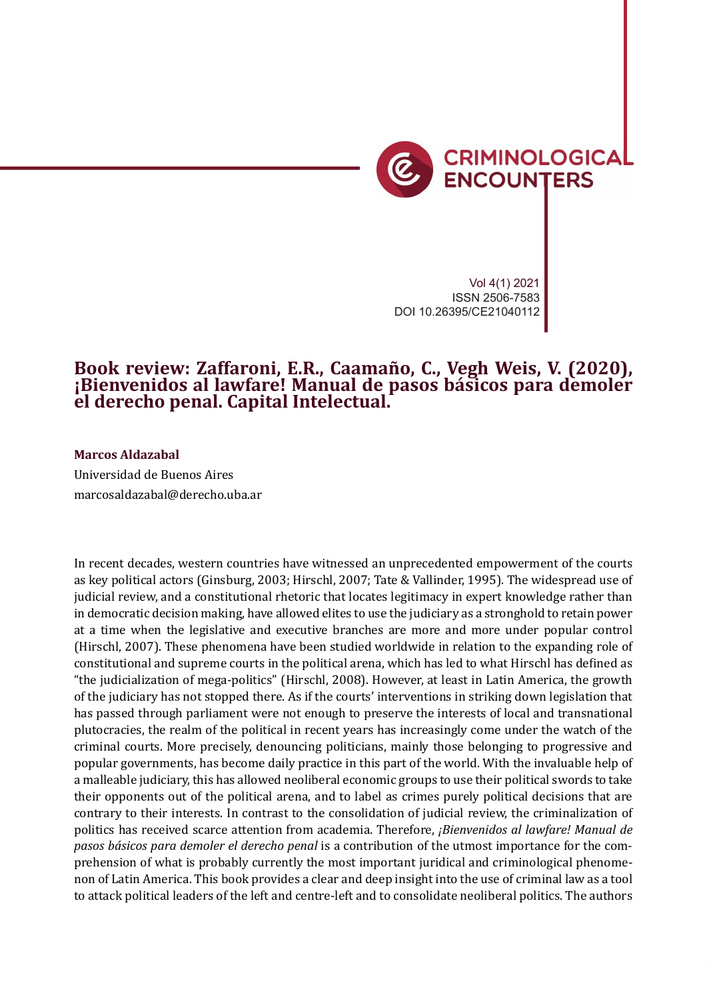

Vol 4(1) 2021 ISSN 2506-7583 DOI 10.26395/CE21040112

## **Book review: Zaffaroni, E.R., Caamaño, C., Vegh Weis, V. (2020), ¡Bienvenidos al lawfare! Manual de pasos básicos para demoler el derecho penal. Capital Intelectual.**

## **Marcos Aldazabal**

Universidad de Buenos Aires marcosaldazabal@derecho.uba.ar

In recent decades, western countries have witnessed an unprecedented empowerment of the courts as key political actors (Ginsburg, 2003; Hirschl, 2007; Tate & Vallinder, 1995). The widespread use of judicial review, and a constitutional rhetoric that locates legitimacy in expert knowledge rather than in democratic decision making, have allowed elites to use the judiciary as a stronghold to retain power at a time when the legislative and executive branches are more and more under popular control (Hirschl, 2007). These phenomena have been studied worldwide in relation to the expanding role of constitutional and supreme courts in the political arena, which has led to what Hirschl has defined as "the judicialization of mega-politics" (Hirschl, 2008). However, at least in Latin America, the growth of the judiciary has not stopped there. As if the courts' interventions in striking down legislation that has passed through parliament were not enough to preserve the interests of local and transnational plutocracies, the realm of the political in recent years has increasingly come under the watch of the criminal courts. More precisely, denouncing politicians, mainly those belonging to progressive and popular governments, has become daily practice in this part of the world. With the invaluable help of a malleable judiciary, this has allowed neoliberal economic groups to use their political swords to take their opponents out of the political arena, and to label as crimes purely political decisions that are contrary to their interests. In contrast to the consolidation of judicial review, the criminalization of politics has received scarce attention from academia. Therefore, *¡Bienvenidos al lawfare! Manual de pasos básicos para demoler el derecho penal* is a contribution of the utmost importance for the comprehension of what is probably currently the most important juridical and criminological phenomenon of Latin America. This book provides a clear and deep insight into the use of criminal law as a tool to attack political leaders of the left and centre-left and to consolidate neoliberal politics. The authors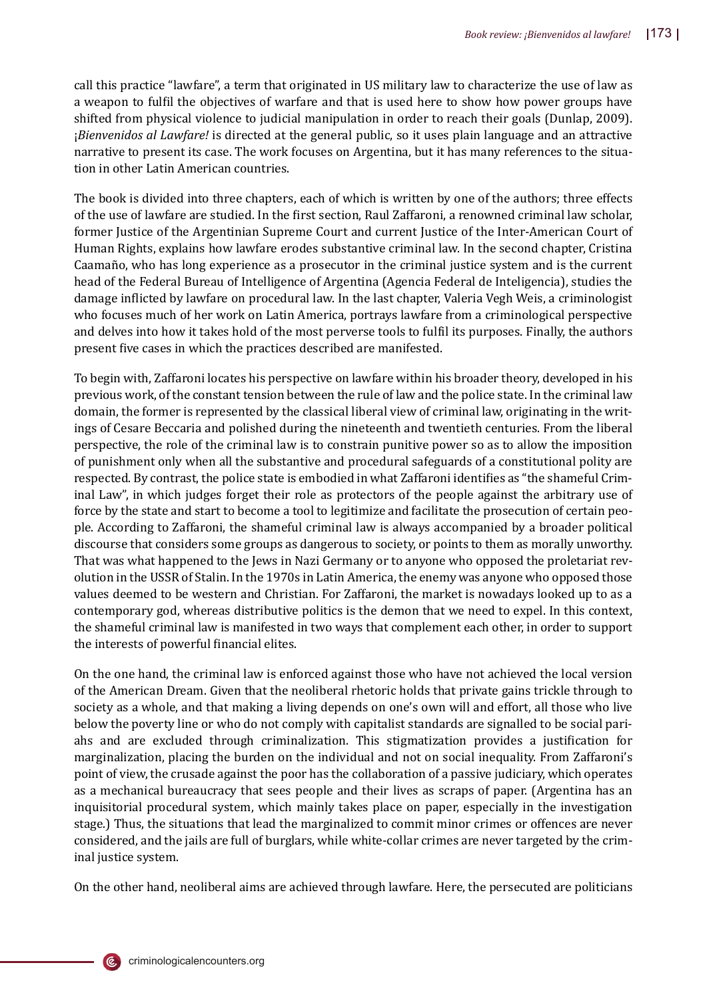call this practice "lawfare", a term that originated in US military law to characterize the use of law as a weapon to fulfil the objectives of warfare and that is used here to show how power groups have shifted from physical violence to judicial manipulation in order to reach their goals (Dunlap, 2009). ¡*Bienvenidos al Lawfare!* is directed at the general public, so it uses plain language and an attractive narrative to present its case. The work focuses on Argentina, but it has many references to the situation in other Latin American countries.

The book is divided into three chapters, each of which is written by one of the authors; three effects of the use of lawfare are studied. In the �irst section, Raul Zaffaroni, a renowned criminal law scholar, former Justice of the Argentinian Supreme Court and current Justice of the Inter-American Court of Human Rights, explains how lawfare erodes substantive criminal law. In the second chapter, Cristina Caamaño, who has long experience as a prosecutor in the criminal justice system and is the current head of the Federal Bureau of Intelligence of Argentina (Agencia Federal de Inteligencia), studies the damage in�licted by lawfare on procedural law. In the last chapter, Valeria Vegh Weis, a criminologist who focuses much of her work on Latin America, portrays lawfare from a criminological perspective and delves into how it takes hold of the most perverse tools to ful�il its purposes. Finally, the authors present five cases in which the practices described are manifested.

To begin with, Zaffaroni locates his perspective on lawfare within his broader theory, developed in his previous work, of the constant tension between the rule of law and the police state. In the criminal law domain, the former is represented by the classical liberal view of criminal law, originating in the writings of Cesare Beccaria and polished during the nineteenth and twentieth centuries. From the liberal perspective, the role of the criminal law is to constrain punitive power so as to allow the imposition of punishment only when all the substantive and procedural safeguards of a constitutional polity are respected. By contrast, the police state is embodied in what Zaffaroni identi�ies as "the shameful Criminal Law", in which judges forget their role as protectors of the people against the arbitrary use of force by the state and start to become a tool to legitimize and facilitate the prosecution of certain people. According to Zaffaroni, the shameful criminal law is always accompanied by a broader political discourse that considers some groups as dangerous to society, or points to them as morally unworthy. That was what happened to the Jews in Nazi Germany or to anyone who opposed the proletariat revolution in the USSR of Stalin. In the 1970s in Latin America, the enemy was anyone who opposed those values deemed to be western and Christian. For Zaffaroni, the market is nowadays looked up to as a contemporary god, whereas distributive politics is the demon that we need to expel. In this context, the shameful criminal law is manifested in two ways that complement each other, in order to support the interests of powerful financial elites.

On the one hand, the criminal law is enforced against those who have not achieved the local version of the American Dream. Given that the neoliberal rhetoric holds that private gains trickle through to society as a whole, and that making a living depends on one's own will and effort, all those who live below the poverty line or who do not comply with capitalist standards are signalled to be social pariahs and are excluded through criminalization. This stigmatization provides a justification for marginalization, placing the burden on the individual and not on social inequality. From Zaffaroni's point of view, the crusade against the poor has the collaboration of a passive judiciary, which operates as a mechanical bureaucracy that sees people and their lives as scraps of paper. (Argentina has an inquisitorial procedural system, which mainly takes place on paper, especially in the investigation stage.) Thus, the situations that lead the marginalized to commit minor crimes or offences are never considered, and the jails are full of burglars, while white-collar crimes are never targeted by the criminal justice system.

On the other hand, neoliberal aims are achieved through lawfare. Here, the persecuted are politicians



(Ē,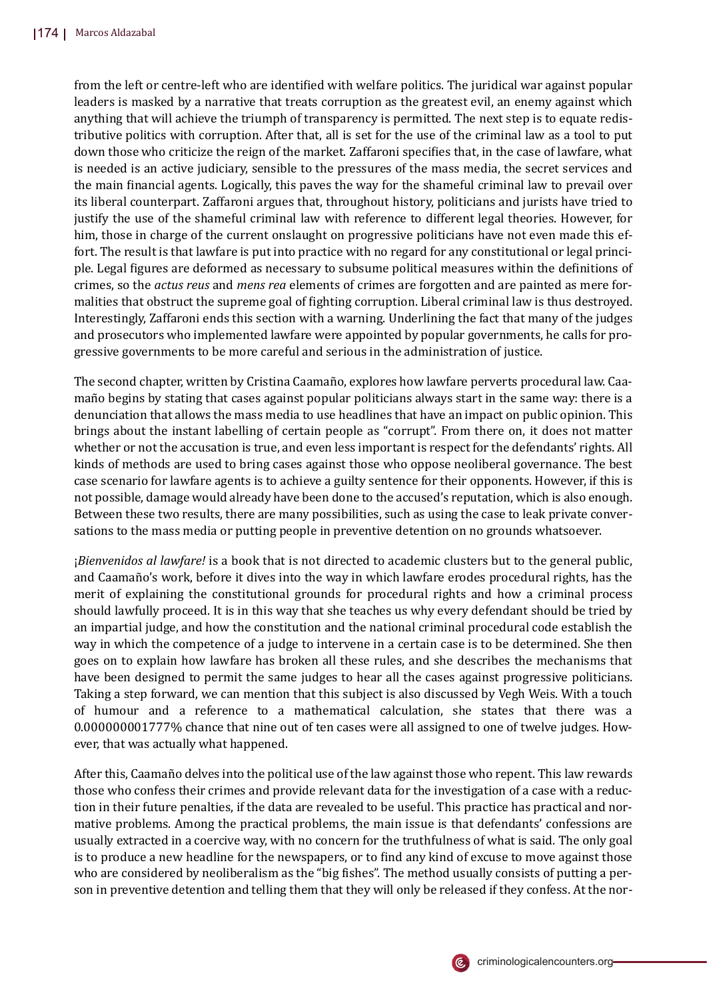from the left or centre-left who are identified with welfare politics. The juridical war against popular leaders is masked by a narrative that treats corruption as the greatest evil, an enemy against which anything that will achieve the triumph of transparency is permitted. The next step is to equate redistributive politics with corruption. After that, all is set for the use of the criminal law as a tool to put down those who criticize the reign of the market. Zaffaroni speci�ies that, in the case of lawfare, what is needed is an active judiciary, sensible to the pressures of the mass media, the secret services and the main �inancial agents. Logically, this paves the way for the shameful criminal law to prevail over its liberal counterpart. Zaffaroni argues that, throughout history, politicians and jurists have tried to justify the use of the shameful criminal law with reference to different legal theories. However, for him, those in charge of the current onslaught on progressive politicians have not even made this effort. The result is that lawfare is put into practice with no regard for any constitutional or legal principle. Legal �igures are deformed as necessary to subsume political measures within the de�initions of crimes, so the *actus reus* and *mens rea* elements of crimes are forgotten and are painted as mere formalities that obstruct the supreme goal of fighting corruption. Liberal criminal law is thus destroyed. Interestingly, Zaffaroni ends this section with a warning. Underlining the fact that many of the judges and prosecutors who implemented lawfare were appointed by popular governments, he calls for progressive governments to be more careful and serious in the administration of justice.

The second chapter, written by Cristina Caamaño, explores how lawfare perverts procedural law. Caamaño begins by stating that cases against popular politicians always start in the same way: there is a denunciation that allows the mass media to use headlines that have an impact on public opinion. This brings about the instant labelling of certain people as "corrupt". From there on, it does not matter whether or not the accusation is true, and even less important is respect for the defendants' rights. All kinds of methods are used to bring cases against those who oppose neoliberal governance. The best case scenario for lawfare agents is to achieve a guilty sentence for their opponents. However, if this is not possible, damage would already have been done to the accused's reputation, which is also enough. Between these two results, there are many possibilities, such as using the case to leak private conversations to the mass media or putting people in preventive detention on no grounds whatsoever.

¡*Bienvenidos al lawfare!* is a book that is not directed to academic clusters but to the general public, and Caamaño's work, before it dives into the way in which lawfare erodes procedural rights, has the merit of explaining the constitutional grounds for procedural rights and how a criminal process should lawfully proceed. It is in this way that she teaches us why every defendant should be tried by an impartial judge, and how the constitution and the national criminal procedural code establish the way in which the competence of a judge to intervene in a certain case is to be determined. She then goes on to explain how lawfare has broken all these rules, and she describes the mechanisms that have been designed to permit the same judges to hear all the cases against progressive politicians. Taking a step forward, we can mention that this subject is also discussed by Vegh Weis. With a touch of humour and a reference to a mathematical calculation, she states that there was a 0.000000001777% chance that nine out of ten cases were all assigned to one of twelve judges. However, that was actually what happened.

After this, Caamaño delves into the political use of the law against those who repent. This law rewards those who confess their crimes and provide relevant data for the investigation of a case with a reduction in their future penalties, if the data are revealed to be useful. This practice has practical and normative problems. Among the practical problems, the main issue is that defendants' confessions are usually extracted in a coercive way, with no concern for the truthfulness of what is said. The only goal is to produce a new headline for the newspapers, or to find any kind of excuse to move against those who are considered by neoliberalism as the "big fishes". The method usually consists of putting a person in preventive detention and telling them that they will only be released if they confess. At the nor-

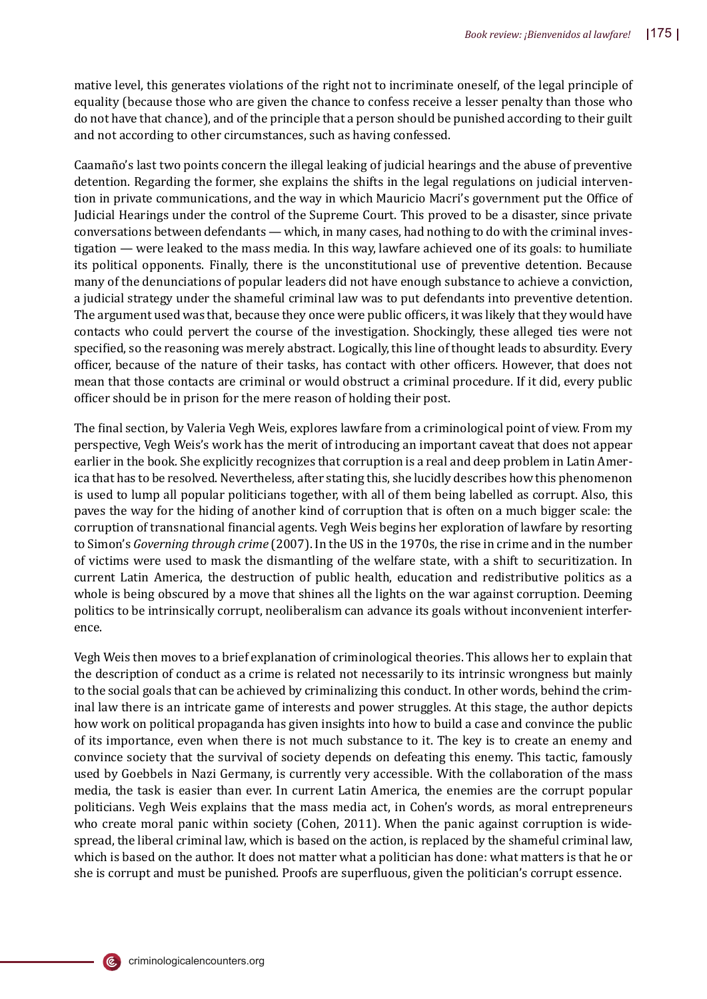mative level, this generates violations of the right not to incriminate oneself, of the legal principle of equality (because those who are given the chance to confess receive a lesser penalty than those who do not have that chance), and of the principle that a person should be punished according to their guilt and not according to other circumstances, such as having confessed.

Caamañ o's last two points concern the illegal leaking of judicial hearings and the abuse of preventive detention. Regarding the former, she explains the shifts in the legal regulations on judicial intervention in private communications, and the way in which Mauricio Macri's government put the Office of Judicial Hearings under the control of the Supreme Court. This proved to be a disaster, since private conversations between defendants — which, in many cases, had nothing to do with the criminal investigation — were leaked to the mass media. In this way, lawfare achieved one of its goals: to humiliate its political opponents. Finally, there is the unconstitutional use of preventive detention. Because many of the denunciations of popular leaders did not have enough substance to achieve a conviction, a judicial strategy under the shameful criminal law was to put defendants into preventive detention. The argument used was that, because they once were public officers, it was likely that they would have contacts who could pervert the course of the investigation. Shockingly, these alleged ties were not specified, so the reasoning was merely abstract. Logically, this line of thought leads to absurdity. Every officer, because of the nature of their tasks, has contact with other officers. However, that does not mean that those contacts are criminal or would obstruct a criminal procedure. If it did, every public officer should be in prison for the mere reason of holding their post.

The final section, by Valeria Vegh Weis, explores lawfare from a criminological point of view. From my perspective, Vegh Weis's work has the merit of introducing an important caveat that does not appear earlier in the book. She explicitly recognizes that corruption is a real and deep problem in Latin America that has to be resolved. Nevertheless, after stating this, she lucidly describes how this phenomenon is used to lump all popular politicians together, with all of them being labelled as corrupt. Also, this paves the way for the hiding of another kind of corruption that is often on a much bigger scale: the corruption of transnational �inancial agents. Vegh Weis begins her exploration of lawfare by resorting to Simon's *Governing through crime* (2007). In the US in the 1970s, the rise in crime and in the number of victims were used to mask the dismantling of the welfare state, with a shift to securitization. In current Latin America, the destruction of public health, education and redistributive politics as a whole is being obscured by a move that shines all the lights on the war against corruption. Deeming politics to be intrinsically corrupt, neoliberalism can advance its goals without inconvenient interference.

Vegh Weis then moves to a brief explanation of criminological theories. This allows her to explain that the description of conduct as a crime is related not necessarily to its intrinsic wrongness but mainly to the social goals that can be achieved by criminalizing this conduct. In other words, behind the criminal law there is an intricate game of interests and power struggles. At this stage, the author depicts how work on political propaganda has given insights into how to build a case and convince the public of its importance, even when there is not much substance to it. The key is to create an enemy and convince society that the survival of society depends on defeating this enemy. This tactic, famously used by Goebbels in Nazi Germany, is currently very accessible. With the collaboration of the mass media, the task is easier than ever. In current Latin America, the enemies are the corrupt popular politicians. Vegh Weis explains that the mass media act, in Cohen's words, as moral entrepreneurs who create moral panic within society (Cohen, 2011). When the panic against corruption is widespread, the liberal criminal law, which is based on the action, is replaced by the shameful criminal law, which is based on the author. It does not matter what a politician has done: what matters is that he or she is corrupt and must be punished. Proofs are super�luous, given the politician's corrupt essence.

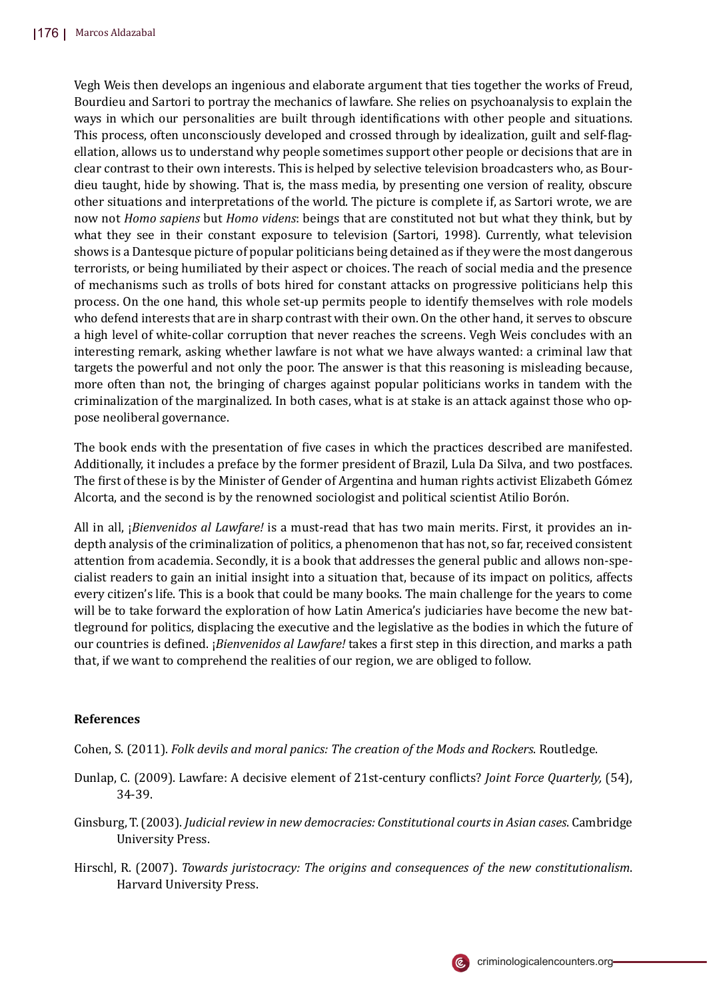Vegh Weis then develops an ingenious and elaborate argument that ties together the works of Freud, Bourdieu and Sartori to portray the mechanics of lawfare. She relies on psychoanalysis to explain the ways in which our personalities are built through identifications with other people and situations. This process, often unconsciously developed and crossed through by idealization, guilt and self-flagellation, allows us to understand why people sometimes support other people or decisions that are in clear contrast to their own interests. This is helped by selective television broadcasters who, as Bourdieu taught, hide by showing. That is, the mass media, by presenting one version of reality, obscure other situations and interpretations of the world. The picture is complete if, as Sartori wrote, we are now not *Homo sapiens* but *Homo videns*: beings that are constituted not but what they think, but by what they see in their constant exposure to television (Sartori, 1998). Currently, what television shows is a Dantesque picture of popular politicians being detained as if they were the most dangerous terrorists, or being humiliated by their aspect or choices. The reach of social media and the presence of mechanisms such as trolls of bots hired for constant attacks on progressive politicians help this process. On the one hand, this whole set-up permits people to identify themselves with role models who defend interests that are in sharp contrast with their own. On the other hand, it serves to obscure a high level of white-collar corruption that never reaches the screens. Vegh Weis concludes with an interesting remark, asking whether lawfare is not what we have always wanted: a criminal law that targets the powerful and not only the poor. The answer is that this reasoning is misleading because, more often than not, the bringing of charges against popular politicians works in tandem with the criminalization of the marginalized. In both cases, what is at stake is an attack against those who oppose neoliberal governance.

The book ends with the presentation of five cases in which the practices described are manifested. Additionally, it includes a preface by the former president of Brazil, Lula Da Silva, and two postfaces. The �irst of these is by the Minister of Gender of Argentina and human rights activist Elizabeth Gómez Alcorta, and the second is by the renowned sociologist and political scientist Atilio Borón.

All in all, ¡*Bienvenidos al Lawfare!* is a must-read that has two main merits. First, it provides an indepth analysis of the criminalization of politics, a phenomenon that has not, so far, received consistent attention from academia. Secondly, it is a book that addresses the general public and allows non-specialist readers to gain an initial insight into a situation that, because of its impact on politics, affects every citizen's life. This is a book that could be many books. The main challenge for the years to come will be to take forward the exploration of how Latin America's judiciaries have become the new battleground for politics, displacing the executive and the legislative as the bodies in which the future of our countries is de�ined. ¡*Bienvenidos al Lawfare!* takes a �irst step in this direction, and marks a path that, if we want to comprehend the realities of our region, we are obliged to follow.

## **References**

Cohen, S. (2011). *Folk devils and moral panics: The creation of the Mods and Rockers*. Routledge.

- Dunlap, C. (2009). Lawfare: A decisive element of 21st-century con�licts? *Joint Force Quarterly,* (54), 34-39.
- Ginsburg, T. (2003). *Judicial review in new democracies: Constitutional courts in Asian cases*. Cambridge University Press.
- Hirschl, R. (2007). *Towards juristocracy: The origins and consequences of the new constitutionalism*. Harvard University Press.

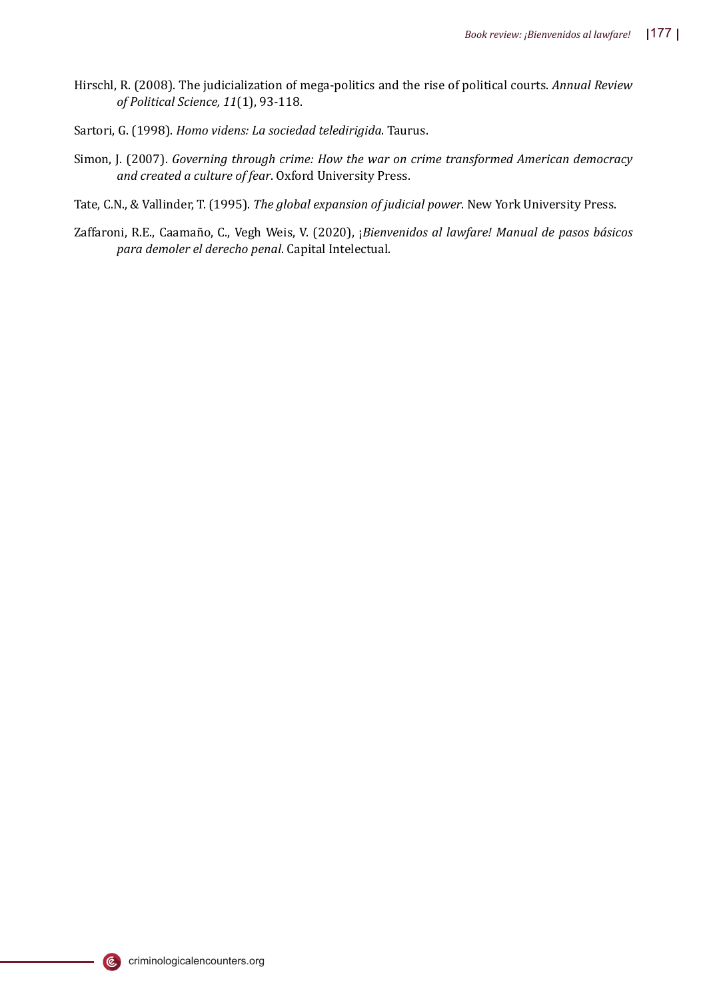- Hirschl, R. (2008). The judicialization of mega-politics and the rise of political courts. *Annual Review of Political Science, 11*(1), 93-118.
- Sartori, G. (1998). *Homo videns: La sociedad teledirigida*. Taurus.
- Simon, J. (2007). *Governing through crime: How the war on crime transformed American democracy and created a culture of fear*. Oxford University Press.
- Tate, C.N., & Vallinder, T. (1995). *The global expansion of judicial power*. New York University Press.
- Zaffaroni, R.E., Caamañ o, C., Vegh Weis, V. (2020), ¡*Bienvenidos al lawfare! Manual de pasos básicos para demoler el derecho penal*. Capital Intelectual.